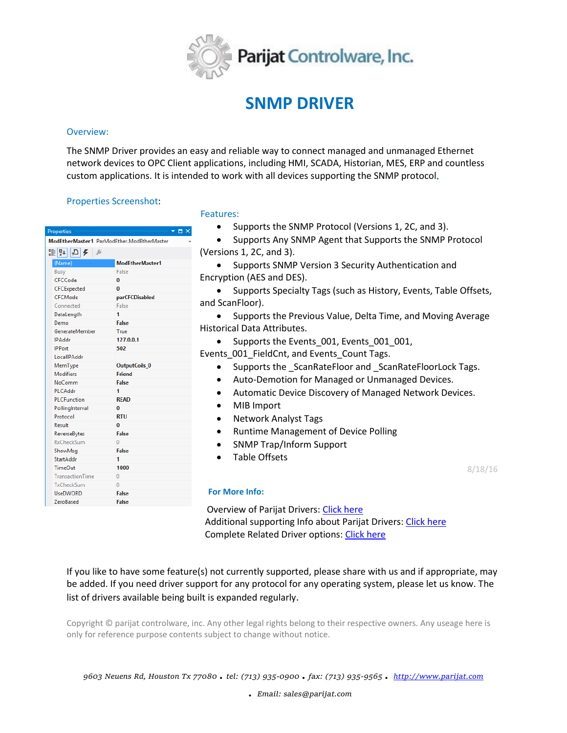

# **SNMP DRIVER**

#### Overview:

The SNMP Driver provides an easy and reliable way to connect managed and unmanaged Ethernet network devices to OPC Client applications, including HMI, SCADA, Historian, MES, ERP and countless custom applications. It is intended to work with all devices supporting the SNMP protocol**.**

# Properties Screenshot:

| $\Box$ $\times$<br><b>Properties</b>       |                 |
|--------------------------------------------|-----------------|
| ModEtherMaster1 ParModEther.ModEtherMaster |                 |
| ≋?↓⊘≮<br>Þ                                 |                 |
| (Name)                                     | ModEtherMaster1 |
| Busy                                       | False           |
| CFCCode                                    | 0               |
| CFCExpected                                | 0               |
| CFCMode                                    | parCFCDisabled  |
| Connected                                  | False           |
| DataLength                                 | 1               |
| Demo                                       | <b>False</b>    |
| GenerateMember                             | True            |
| <b>IPAddr</b>                              | 127.0.0.1       |
| <b>IPPort</b>                              | 502             |
| LocallPAddr                                |                 |
| MemType                                    | OutputCoils_0   |
| <b>Modifiers</b>                           | <b>Friend</b>   |
| NoComm                                     | <b>False</b>    |
| <b>PLCAddr</b>                             | 1               |
| <b>PLCFunction</b>                         | <b>READ</b>     |
| PollingInterval                            | 0               |
| Protocol                                   | <b>RTU</b>      |
| Result                                     | O               |
| ReverseBytes                               | False           |
| <b>RxCheckSum</b>                          | Ō               |
| ShowMsg                                    | False           |
| <b>StartAddr</b>                           | 1               |
| <b>TimeOut</b>                             | 1000            |
| <b>TransactionTime</b>                     | $\theta$        |
| TxCheckSum                                 | $\bf{0}$        |
| <b>UseDWORD</b>                            | False           |
| <b>ZeroBased</b>                           | <b>False</b>    |

#### Features:

- Supports the SNMP Protocol (Versions 1, 2C, and 3).
- Supports Any SNMP Agent that Supports the SNMP Protocol (Versions 1, 2C, and 3).
- Supports SNMP Version 3 Security Authentication and Encryption (AES and DES).
- Supports Specialty Tags (such as History, Events, Table Offsets, and ScanFloor).
- Supports the Previous Value, Delta Time, and Moving Average Historical Data Attributes.
	- Supports the Events 001, Events 001 001,

Events 001 FieldCnt, and Events Count Tags.

- Supports the \_ScanRateFloor and \_ScanRateFloorLock Tags.
- Auto-Demotion for Managed or Unmanaged Devices.
- Automatic Device Discovery of Managed Network Devices.
- MIB Import
- Network Analyst Tags
- Runtime Management of Device Polling
- SNMP Trap/Inform Support
- Table Offsets

8/18/16

### **For More Info:**

 Overview of Parijat Drivers: [Click here](http://controlsystemtools.com/Upload/Resource/635429005960035932.docx) Additional supporting Info about Parijat Drivers: [Click here](http://controlsystemtools.com/Upload/Resource/635429008180653804.doc) Complete Related Driver options[: Click here](http://controlsystemtools.com/controlsystemtools/Home/Resources/DriverReport)

If you like to have some feature(s) not currently supported, please share with us and if appropriate, may be added. If you need driver support for any protocol for any operating system, please let us know. The list of drivers available being built is expanded regularly.

Copyright © parijat controlware, inc. Any other legal rights belong to their respective owners. Any useage here is only for reference purpose contents subject to change without notice.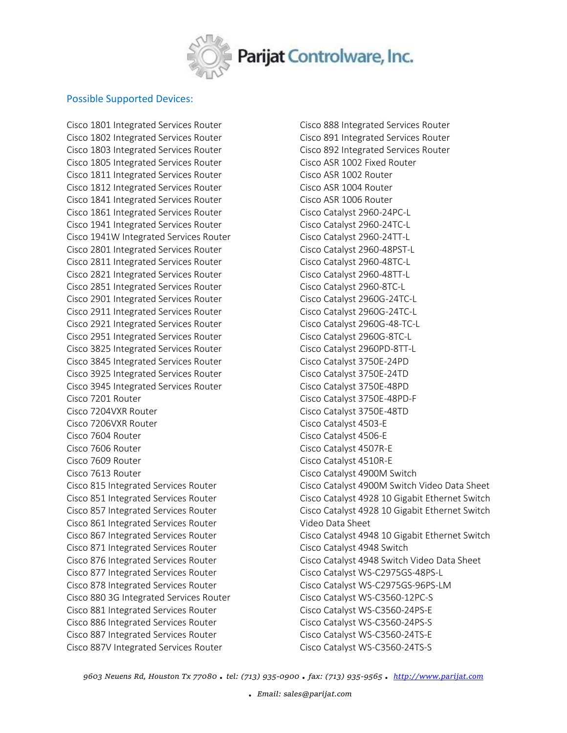

## Possible Supported Devices:

Cisco 1801 Integrated Services Router Cisco 1802 Integrated Services Router Cisco 1803 Integrated Services Router Cisco 1805 Integrated Services Router Cisco 1811 Integrated Services Router Cisco 1812 Integrated Services Router Cisco 1841 Integrated Services Router Cisco 1861 Integrated Services Router Cisco 1941 Integrated Services Router Cisco 1941W Integrated Services Router Cisco 2801 Integrated Services Router Cisco 2811 Integrated Services Router Cisco 2821 Integrated Services Router Cisco 2851 Integrated Services Router Cisco 2901 Integrated Services Router Cisco 2911 Integrated Services Router Cisco 2921 Integrated Services Router Cisco 2951 Integrated Services Router Cisco 3825 Integrated Services Router Cisco 3845 Integrated Services Router Cisco 3925 Integrated Services Router Cisco 3945 Integrated Services Router Cisco 7201 Router Cisco 7204VXR Router Cisco 7206VXR Router Cisco 7604 Router Cisco 7606 Router Cisco 7609 Router Cisco 7613 Router Cisco 815 Integrated Services Router Cisco 851 Integrated Services Router Cisco 857 Integrated Services Router Cisco 861 Integrated Services Router Cisco 867 Integrated Services Router Cisco 871 Integrated Services Router Cisco 876 Integrated Services Router Cisco 877 Integrated Services Router Cisco 878 Integrated Services Router Cisco 880 3G Integrated Services Router Cisco 881 Integrated Services Router Cisco 886 Integrated Services Router Cisco 887 Integrated Services Router Cisco 887V Integrated Services Router

Cisco 888 Integrated Services Router Cisco 891 Integrated Services Router Cisco 892 Integrated Services Router Cisco ASR 1002 Fixed Router Cisco ASR 1002 Router Cisco ASR 1004 Router Cisco ASR 1006 Router Cisco Catalyst 2960-24PC-L Cisco Catalyst 2960-24TC-L Cisco Catalyst 2960-24TT-L Cisco Catalyst 2960-48PST-L Cisco Catalyst 2960-48TC-L Cisco Catalyst 2960-48TT-L Cisco Catalyst 2960-8TC-L Cisco Catalyst 2960G-24TC-L Cisco Catalyst 2960G-24TC-L Cisco Catalyst 2960G-48-TC-L Cisco Catalyst 2960G-8TC-L Cisco Catalyst 2960PD-8TT-L Cisco Catalyst 3750E-24PD Cisco Catalyst 3750E-24TD Cisco Catalyst 3750E-48PD Cisco Catalyst 3750E-48PD-F Cisco Catalyst 3750E-48TD Cisco Catalyst 4503-E Cisco Catalyst 4506-E Cisco Catalyst 4507R-E Cisco Catalyst 4510R-E Cisco Catalyst 4900M Switch Cisco Catalyst 4900M Switch Video Data Sheet Cisco Catalyst 4928 10 Gigabit Ethernet Switch Cisco Catalyst 4928 10 Gigabit Ethernet Switch Video Data Sheet Cisco Catalyst 4948 10 Gigabit Ethernet Switch Cisco Catalyst 4948 Switch Cisco Catalyst 4948 Switch Video Data Sheet Cisco Catalyst WS-C2975GS-48PS-L Cisco Catalyst WS-C2975GS-96PS-LM Cisco Catalyst WS-C3560-12PC-S Cisco Catalyst WS-C3560-24PS-E Cisco Catalyst WS-C3560-24PS-S Cisco Catalyst WS-C3560-24TS-E Cisco Catalyst WS-C3560-24TS-S

*9603 Neuens Rd, Houston Tx 77080 . tel: (713) 935-0900 . fax: (713) 935-9565 . [http://www.parijat.com](http://www.parijat.com/)*